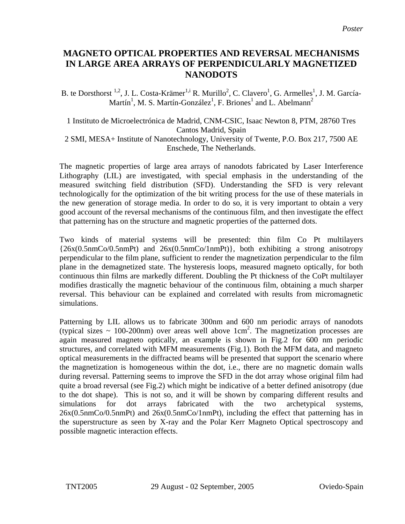## **MAGNETO OPTICAL PROPERTIES AND REVERSAL MECHANISMS IN LARGE AREA ARRAYS OF PERPENDICULARLY MAGNETIZED NANODOTS**

B. te Dorsthorst <sup>1,2</sup>, J. L. Costa-Krämer<sup>1[,i](#page-1-0)</sup> R. Murillo<sup>2</sup>, C. Clavero<sup>1</sup>, G. Armelles<sup>1</sup>, J. M. García-Martín<sup>1</sup>, M. S. Martín-González<sup>1</sup>, F. Briones<sup>1</sup> and L. Abelmann<sup>2</sup>

1 Instituto de Microelectrónica de Madrid, CNM-CSIC, Isaac Newton 8, PTM, 28760 Tres Cantos Madrid, Spain 2 SMI, MESA+ Institute of Nanotechnology, University of Twente, P.O. Box 217, 7500 AE Enschede, The Netherlands.

The magnetic properties of large area arrays of nanodots fabricated by Laser Interference Lithography (LIL) are investigated, with special emphasis in the understanding of the measured switching field distribution (SFD). Understanding the SFD is very relevant technologically for the optimization of the bit writing process for the use of these materials in the new generation of storage media. In order to do so, it is very important to obtain a very good account of the reversal mechanisms of the continuous film, and then investigate the effect that patterning has on the structure and magnetic properties of the patterned dots.

Two kinds of material systems will be presented: thin film Co Pt multilayers {26x(0.5nmCo/0.5nmPt) and 26x(0.5nmCo/1nmPt)}, both exhibiting a strong anisotropy perpendicular to the film plane, sufficient to render the magnetization perpendicular to the film plane in the demagnetized state. The hysteresis loops, measured magneto optically, for both continuous thin films are markedly different. Doubling the Pt thickness of the CoPt multilayer modifies drastically the magnetic behaviour of the continuous film, obtaining a much sharper reversal. This behaviour can be explained and correlated with results from micromagnetic simulations.

Patterning by LIL allows us to fabricate 300nm and 600 nm periodic arrays of nanodots (typical sizes  $\sim 100{\text -}200$ nm) over areas well above 1cm<sup>2</sup>. The magnetization processes are again measured magneto optically, an example is shown in Fig.2 for 600 nm periodic structures, and correlated with MFM measurements (Fig.1). Both the MFM data, and magneto optical measurements in the diffracted beams will be presented that support the scenario where the magnetization is homogeneous within the dot, i.e., there are no magnetic domain walls during reversal. Patterning seems to improve the SFD in the dot array whose original film had quite a broad reversal (see Fig.2) which might be indicative of a better defined anisotropy (due to the dot shape). This is not so, and it will be shown by comparing different results and simulations for dot arrays fabricated with the two archetypical systems, 26x(0.5nmCo/0.5nmPt) and 26x(0.5nmCo/1nmPt), including the effect that patterning has in the superstructure as seen by X-ray and the Polar Kerr Magneto Optical spectroscopy and possible magnetic interaction effects.